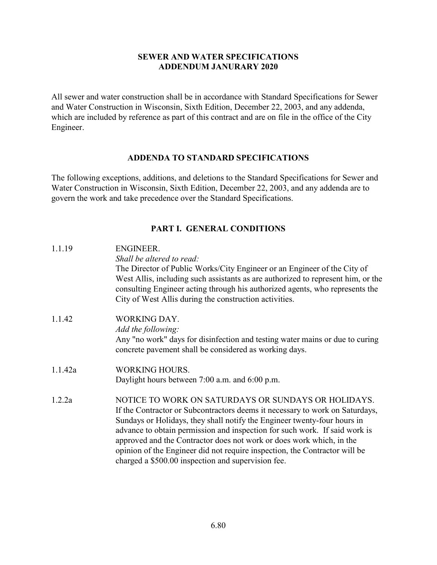## SEWER AND WATER SPECIFICATIONS ADDENDUM JANURARY 2020

All sewer and water construction shall be in accordance with Standard Specifications for Sewer and Water Construction in Wisconsin, Sixth Edition, December 22, 2003, and any addenda, which are included by reference as part of this contract and are on file in the office of the City Engineer.

## ADDENDA TO STANDARD SPECIFICATIONS

The following exceptions, additions, and deletions to the Standard Specifications for Sewer and Water Construction in Wisconsin, Sixth Edition, December 22, 2003, and any addenda are to govern the work and take precedence over the Standard Specifications.

## PART I. GENERAL CONDITIONS

| 1.1.19  | <b>ENGINEER.</b><br>Shall be altered to read:                                                                                                                    |  |  |
|---------|------------------------------------------------------------------------------------------------------------------------------------------------------------------|--|--|
|         | The Director of Public Works/City Engineer or an Engineer of the City of                                                                                         |  |  |
|         | West Allis, including such assistants as are authorized to represent him, or the<br>consulting Engineer acting through his authorized agents, who represents the |  |  |
|         | City of West Allis during the construction activities.                                                                                                           |  |  |
| 1.1.42  | WORKING DAY.                                                                                                                                                     |  |  |
|         | Add the following:                                                                                                                                               |  |  |
|         | Any "no work" days for disinfection and testing water mains or due to curing<br>concrete pavement shall be considered as working days.                           |  |  |
| 1.1.42a | <b>WORKING HOURS.</b>                                                                                                                                            |  |  |
|         | Daylight hours between 7:00 a.m. and 6:00 p.m.                                                                                                                   |  |  |
| 1.2.2a  | NOTICE TO WORK ON SATURDAYS OR SUNDAYS OR HOLIDAYS.                                                                                                              |  |  |
|         | If the Contractor or Subcontractors deems it necessary to work on Saturdays,                                                                                     |  |  |
|         | Sundays or Holidays, they shall notify the Engineer twenty-four hours in                                                                                         |  |  |
|         | advance to obtain permission and inspection for such work. If said work is                                                                                       |  |  |
|         | approved and the Contractor does not work or does work which, in the                                                                                             |  |  |
|         | opinion of the Engineer did not require inspection, the Contractor will be                                                                                       |  |  |
|         | charged a \$500.00 inspection and supervision fee.                                                                                                               |  |  |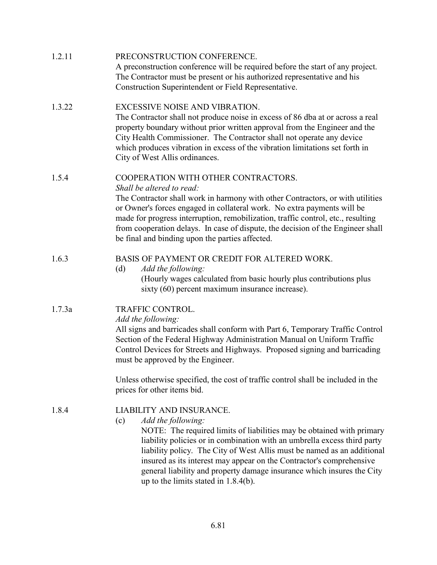| 1.2.11 | PRECONSTRUCTION CONFERENCE.<br>A preconstruction conference will be required before the start of any project.<br>The Contractor must be present or his authorized representative and his<br>Construction Superintendent or Field Representative.                                                                                                                                                                                                                                   |  |  |  |
|--------|------------------------------------------------------------------------------------------------------------------------------------------------------------------------------------------------------------------------------------------------------------------------------------------------------------------------------------------------------------------------------------------------------------------------------------------------------------------------------------|--|--|--|
| 1.3.22 | EXCESSIVE NOISE AND VIBRATION.<br>The Contractor shall not produce noise in excess of 86 dba at or across a real<br>property boundary without prior written approval from the Engineer and the<br>City Health Commissioner. The Contractor shall not operate any device<br>which produces vibration in excess of the vibration limitations set forth in<br>City of West Allis ordinances.                                                                                          |  |  |  |
| 1.5.4  | COOPERATION WITH OTHER CONTRACTORS.<br>Shall be altered to read:<br>The Contractor shall work in harmony with other Contractors, or with utilities<br>or Owner's forces engaged in collateral work. No extra payments will be<br>made for progress interruption, remobilization, traffic control, etc., resulting<br>from cooperation delays. In case of dispute, the decision of the Engineer shall<br>be final and binding upon the parties affected.                            |  |  |  |
| 1.6.3  | BASIS OF PAYMENT OR CREDIT FOR ALTERED WORK.<br>(d)<br>Add the following:<br>(Hourly wages calculated from basic hourly plus contributions plus<br>sixty (60) percent maximum insurance increase).                                                                                                                                                                                                                                                                                 |  |  |  |
| 1.7.3a | TRAFFIC CONTROL.<br>Add the following:<br>All signs and barricades shall conform with Part 6, Temporary Traffic Control<br>Section of the Federal Highway Administration Manual on Uniform Traffic<br>Control Devices for Streets and Highways. Proposed signing and barricading<br>must be approved by the Engineer.                                                                                                                                                              |  |  |  |
|        | Unless otherwise specified, the cost of traffic control shall be included in the<br>prices for other items bid.                                                                                                                                                                                                                                                                                                                                                                    |  |  |  |
| 1.8.4  | LIABILITY AND INSURANCE.<br>Add the following:<br>(c)<br>NOTE: The required limits of liabilities may be obtained with primary<br>liability policies or in combination with an umbrella excess third party<br>liability policy. The City of West Allis must be named as an additional<br>insured as its interest may appear on the Contractor's comprehensive<br>general liability and property damage insurance which insures the City<br>up to the limits stated in $1.8.4(b)$ . |  |  |  |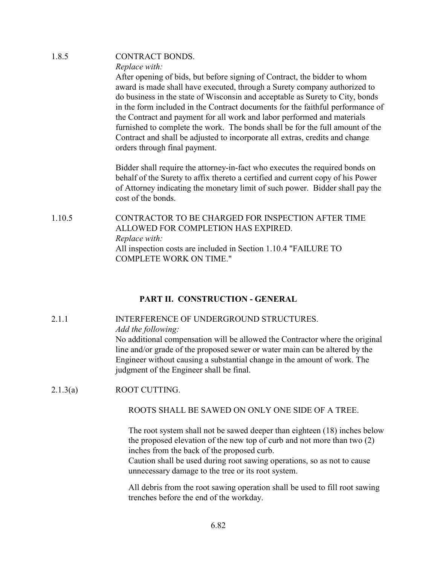| 1.8.5  | <b>CONTRACT BONDS.</b>                                                                                                                                                                                                                                                                                                                                                                                                                                                                                                                                                                                 |
|--------|--------------------------------------------------------------------------------------------------------------------------------------------------------------------------------------------------------------------------------------------------------------------------------------------------------------------------------------------------------------------------------------------------------------------------------------------------------------------------------------------------------------------------------------------------------------------------------------------------------|
|        | Replace with:                                                                                                                                                                                                                                                                                                                                                                                                                                                                                                                                                                                          |
|        | After opening of bids, but before signing of Contract, the bidder to whom<br>award is made shall have executed, through a Surety company authorized to<br>do business in the state of Wisconsin and acceptable as Surety to City, bonds<br>in the form included in the Contract documents for the faithful performance of<br>the Contract and payment for all work and labor performed and materials<br>furnished to complete the work. The bonds shall be for the full amount of the<br>Contract and shall be adjusted to incorporate all extras, credits and change<br>orders through final payment. |
|        | Bidder shall require the attorney-in-fact who executes the required bonds on<br>behalf of the Surety to affix thereto a certified and current copy of his Power<br>of Attorney indicating the monetary limit of such power. Bidder shall pay the<br>cost of the bonds.                                                                                                                                                                                                                                                                                                                                 |
| 1.10.5 | CONTRACTOR TO BE CHARGED FOR INSPECTION AFTER TIME<br>ALLOWED FOR COMPLETION HAS EXPIRED.<br>Replace with:<br>All inspection costs are included in Section 1.10.4 "FAILURE TO<br><b>COMPLETE WORK ON TIME."</b>                                                                                                                                                                                                                                                                                                                                                                                        |
|        |                                                                                                                                                                                                                                                                                                                                                                                                                                                                                                                                                                                                        |

## PART II. CONSTRUCTION - GENERAL

# 2.1.1 INTERFERENCE OF UNDERGROUND STRUCTURES.

Add the following:

No additional compensation will be allowed the Contractor where the original line and/or grade of the proposed sewer or water main can be altered by the Engineer without causing a substantial change in the amount of work. The judgment of the Engineer shall be final.

2.1.3(a) ROOT CUTTING.

## ROOTS SHALL BE SAWED ON ONLY ONE SIDE OF A TREE.

 The root system shall not be sawed deeper than eighteen (18) inches below the proposed elevation of the new top of curb and not more than two (2) inches from the back of the proposed curb.

Caution shall be used during root sawing operations, so as not to cause unnecessary damage to the tree or its root system.

 All debris from the root sawing operation shall be used to fill root sawing trenches before the end of the workday.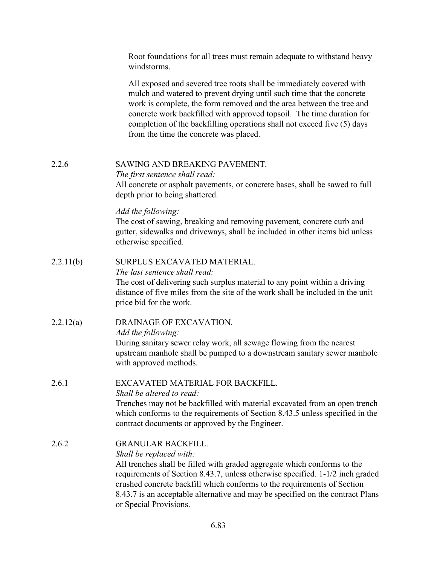|           | Root foundations for all trees must remain adequate to withstand heavy<br>windstorms.                                                                                                                                                                                                                                                                                                                               |
|-----------|---------------------------------------------------------------------------------------------------------------------------------------------------------------------------------------------------------------------------------------------------------------------------------------------------------------------------------------------------------------------------------------------------------------------|
|           | All exposed and severed tree roots shall be immediately covered with<br>mulch and watered to prevent drying until such time that the concrete<br>work is complete, the form removed and the area between the tree and<br>concrete work backfilled with approved topsoil. The time duration for<br>completion of the backfilling operations shall not exceed five (5) days<br>from the time the concrete was placed. |
| 2.2.6     | SAWING AND BREAKING PAVEMENT.<br>The first sentence shall read:<br>All concrete or asphalt pavements, or concrete bases, shall be sawed to full<br>depth prior to being shattered.                                                                                                                                                                                                                                  |
|           | Add the following:<br>The cost of sawing, breaking and removing pavement, concrete curb and<br>gutter, sidewalks and driveways, shall be included in other items bid unless<br>otherwise specified.                                                                                                                                                                                                                 |
| 2.2.11(b) | SURPLUS EXCAVATED MATERIAL.<br>The last sentence shall read:<br>The cost of delivering such surplus material to any point within a driving<br>distance of five miles from the site of the work shall be included in the unit<br>price bid for the work.                                                                                                                                                             |
| 2.2.12(a) | DRAINAGE OF EXCAVATION.<br>Add the following:<br>During sanitary sewer relay work, all sewage flowing from the nearest<br>upstream manhole shall be pumped to a downstream sanitary sewer manhole<br>with approved methods.                                                                                                                                                                                         |
| 2.6.1     | EXCAVATED MATERIAL FOR BACKFILL.<br>Shall be altered to read:<br>Trenches may not be backfilled with material excavated from an open trench<br>which conforms to the requirements of Section 8.43.5 unless specified in the<br>contract documents or approved by the Engineer.                                                                                                                                      |
| 2.6.2     | <b>GRANULAR BACKFILL.</b><br>Shall be replaced with:<br>All trenches shall be filled with graded aggregate which conforms to the<br>requirements of Section 8.43.7, unless otherwise specified. 1-1/2 inch graded<br>crushed concrete backfill which conforms to the requirements of Section<br>8.43.7 is an acceptable alternative and may be specified on the contract Plans<br>or Special Provisions.            |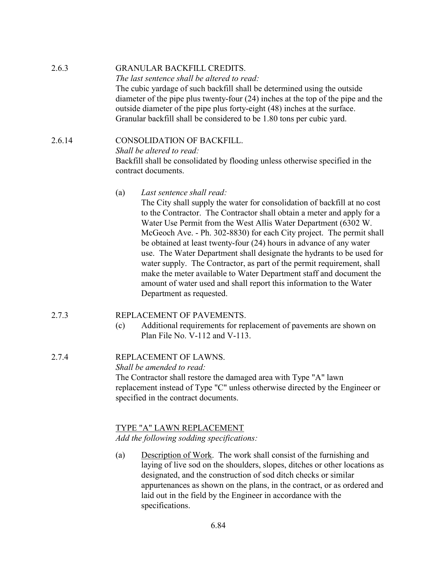| 2.6.3  | <b>GRANULAR BACKFILL CREDITS.</b><br>The last sentence shall be altered to read:                                                                                                                                                                                                                                     |  |  |  |
|--------|----------------------------------------------------------------------------------------------------------------------------------------------------------------------------------------------------------------------------------------------------------------------------------------------------------------------|--|--|--|
|        | The cubic yardage of such backfill shall be determined using the outside<br>diameter of the pipe plus twenty-four $(24)$ inches at the top of the pipe and the<br>outside diameter of the pipe plus forty-eight (48) inches at the surface.<br>Granular backfill shall be considered to be 1.80 tons per cubic yard. |  |  |  |
| 2.6.14 | <b>CONSOLIDATION OF BACKFILL.</b><br>Shall be altered to read:<br>Backfill shall be consolidated by flooding unless otherwise specified in the<br>contract documents.                                                                                                                                                |  |  |  |
|        | Last sentence shall read:<br>(a)<br>The City shall supply the water for consolidation of backfill at no cost<br>to the Contractor. The Contractor shall obtain a meter and apply for a                                                                                                                               |  |  |  |

Water Use Permit from the West Allis Water Department (6302 W. McGeoch Ave. - Ph. 302-8830) for each City project. The permit shall be obtained at least twenty-four (24) hours in advance of any water use. The Water Department shall designate the hydrants to be used for water supply. The Contractor, as part of the permit requirement, shall make the meter available to Water Department staff and document the amount of water used and shall report this information to the Water Department as requested.

#### 2.7.3 REPLACEMENT OF PAVEMENTS.

(c) Additional requirements for replacement of pavements are shown on Plan File No. V-112 and V-113.

## 2.7.4 REPLACEMENT OF LAWNS.

Shall be amended to read:

The Contractor shall restore the damaged area with Type "A" lawn replacement instead of Type "C" unless otherwise directed by the Engineer or specified in the contract documents.

#### TYPE "A" LAWN REPLACEMENT

Add the following sodding specifications:

(a) Description of Work. The work shall consist of the furnishing and laying of live sod on the shoulders, slopes, ditches or other locations as designated, and the construction of sod ditch checks or similar appurtenances as shown on the plans, in the contract, or as ordered and laid out in the field by the Engineer in accordance with the specifications.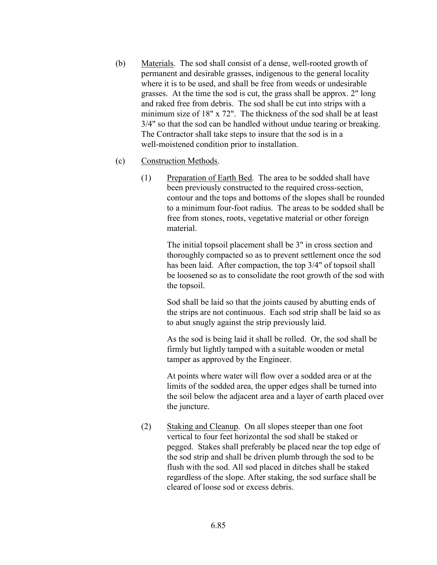- (b) Materials. The sod shall consist of a dense, well-rooted growth of permanent and desirable grasses, indigenous to the general locality where it is to be used, and shall be free from weeds or undesirable grasses. At the time the sod is cut, the grass shall be approx. 2" long and raked free from debris. The sod shall be cut into strips with a minimum size of 18" x 72". The thickness of the sod shall be at least 3/4" so that the sod can be handled without undue tearing or breaking. The Contractor shall take steps to insure that the sod is in a well-moistened condition prior to installation.
- (c) Construction Methods.
	- (1) Preparation of Earth Bed. The area to be sodded shall have been previously constructed to the required cross-section, contour and the tops and bottoms of the slopes shall be rounded to a minimum four-foot radius. The areas to be sodded shall be free from stones, roots, vegetative material or other foreign material.

The initial topsoil placement shall be 3" in cross section and thoroughly compacted so as to prevent settlement once the sod has been laid. After compaction, the top 3/4" of topsoil shall be loosened so as to consolidate the root growth of the sod with the topsoil.

Sod shall be laid so that the joints caused by abutting ends of the strips are not continuous. Each sod strip shall be laid so as to abut snugly against the strip previously laid.

As the sod is being laid it shall be rolled. Or, the sod shall be firmly but lightly tamped with a suitable wooden or metal tamper as approved by the Engineer.

At points where water will flow over a sodded area or at the limits of the sodded area, the upper edges shall be turned into the soil below the adjacent area and a layer of earth placed over the juncture.

(2) Staking and Cleanup. On all slopes steeper than one foot vertical to four feet horizontal the sod shall be staked or pegged. Stakes shall preferably be placed near the top edge of the sod strip and shall be driven plumb through the sod to be flush with the sod. All sod placed in ditches shall be staked regardless of the slope. After staking, the sod surface shall be cleared of loose sod or excess debris.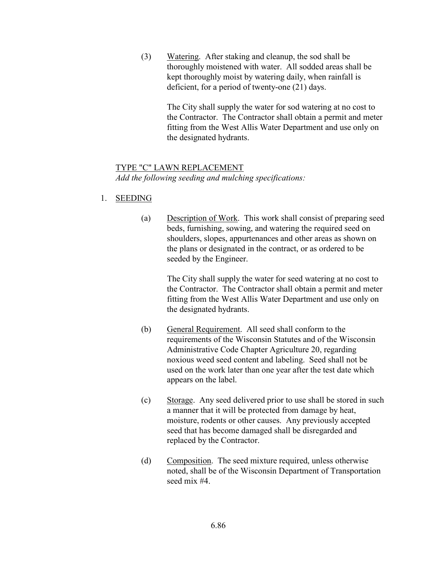(3) Watering. After staking and cleanup, the sod shall be thoroughly moistened with water. All sodded areas shall be kept thoroughly moist by watering daily, when rainfall is deficient, for a period of twenty-one (21) days.

> The City shall supply the water for sod watering at no cost to the Contractor. The Contractor shall obtain a permit and meter fitting from the West Allis Water Department and use only on the designated hydrants.

## TYPE "C" LAWN REPLACEMENT

Add the following seeding and mulching specifications:

## 1. SEEDING

(a) Description of Work. This work shall consist of preparing seed beds, furnishing, sowing, and watering the required seed on shoulders, slopes, appurtenances and other areas as shown on the plans or designated in the contract, or as ordered to be seeded by the Engineer.

> The City shall supply the water for seed watering at no cost to the Contractor. The Contractor shall obtain a permit and meter fitting from the West Allis Water Department and use only on the designated hydrants.

- (b) General Requirement. All seed shall conform to the requirements of the Wisconsin Statutes and of the Wisconsin Administrative Code Chapter Agriculture 20, regarding noxious weed seed content and labeling. Seed shall not be used on the work later than one year after the test date which appears on the label.
- (c) Storage. Any seed delivered prior to use shall be stored in such a manner that it will be protected from damage by heat, moisture, rodents or other causes. Any previously accepted seed that has become damaged shall be disregarded and replaced by the Contractor.
- (d) Composition. The seed mixture required, unless otherwise noted, shall be of the Wisconsin Department of Transportation seed mix #4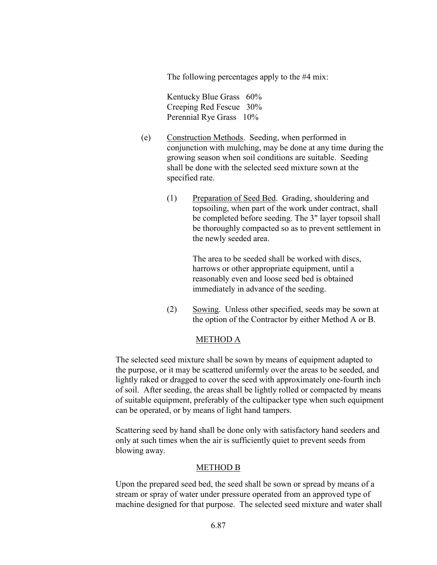The following percentages apply to the #4 mix:

Kentucky Blue Grass 60% Creeping Red Fescue 30% Perennial Rye Grass 10%

- (e) Construction Methods. Seeding, when performed in conjunction with mulching, may be done at any time during the growing season when soil conditions are suitable. Seeding shall be done with the selected seed mixture sown at the specified rate.
	- (1) Preparation of Seed Bed. Grading, shouldering and topsoiling, when part of the work under contract, shall be completed before seeding. The 3" layer topsoil shall be thoroughly compacted so as to prevent settlement in the newly seeded area.

The area to be seeded shall be worked with discs, harrows or other appropriate equipment, until a reasonably even and loose seed bed is obtained immediately in advance of the seeding.

(2) Sowing. Unless other specified, seeds may be sown at the option of the Contractor by either Method A or B.

## METHOD A

The selected seed mixture shall be sown by means of equipment adapted to the purpose, or it may be scattered uniformly over the areas to be seeded, and lightly raked or dragged to cover the seed with approximately one-fourth inch of soil. After seeding, the areas shall be lightly rolled or compacted by means of suitable equipment, preferably of the cultipacker type when such equipment can be operated, or by means of light hand tampers.

Scattering seed by hand shall be done only with satisfactory hand seeders and only at such times when the air is sufficiently quiet to prevent seeds from blowing away.

#### METHOD B

Upon the prepared seed bed, the seed shall be sown or spread by means of a stream or spray of water under pressure operated from an approved type of machine designed for that purpose. The selected seed mixture and water shall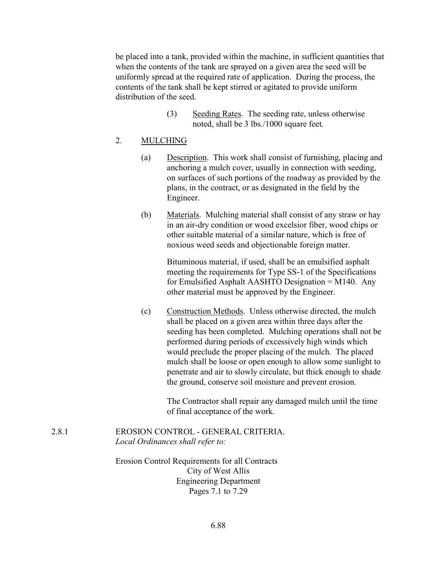be placed into a tank, provided within the machine, in sufficient quantities that when the contents of the tank are sprayed on a given area the seed will be uniformly spread at the required rate of application. During the process, the contents of the tank shall be kept stirred or agitated to provide uniform distribution of the seed.

> (3) Seeding Rates. The seeding rate, unless otherwise noted, shall be 3 lbs./1000 square feet.

#### 2. MULCHING

- (a) Description. This work shall consist of furnishing, placing and anchoring a mulch cover, usually in connection with seeding, on surfaces of such portions of the roadway as provided by the plans, in the contract, or as designated in the field by the Engineer.
- (b) Materials. Mulching material shall consist of any straw or hay in an air-dry condition or wood excelsior fiber, wood chips or other suitable material of a similar nature, which is free of noxious weed seeds and objectionable foreign matter.

Bituminous material, if used, shall be an emulsified asphalt meeting the requirements for Type SS-1 of the Specifications for Emulsified Asphalt AASHTO Designation = M140. Any other material must be approved by the Engineer.

(c) Construction Methods. Unless otherwise directed, the mulch shall be placed on a given area within three days after the seeding has been completed. Mulching operations shall not be performed during periods of excessively high winds which would preclude the proper placing of the mulch. The placed mulch shall be loose or open enough to allow some sunlight to penetrate and air to slowly circulate, but thick enough to shade the ground, conserve soil moisture and prevent erosion.

> The Contractor shall repair any damaged mulch until the time of final acceptance of the work.

2.8.1 EROSION CONTROL - GENERAL CRITERIA. Local Ordinances shall refer to:

> Erosion Control Requirements for all Contracts City of West Allis Engineering Department Pages 7.1 to 7.29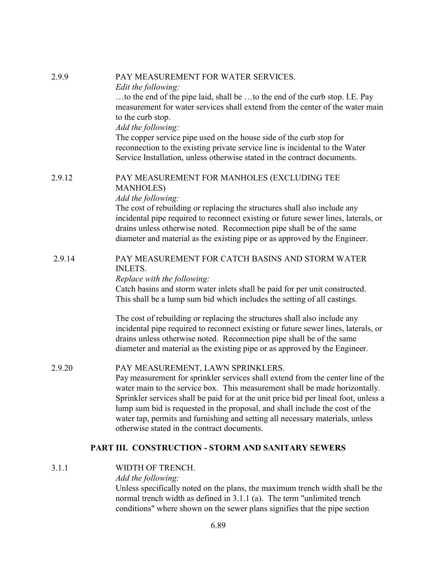| 2.9.9  | PAY MEASUREMENT FOR WATER SERVICES.<br>Edit the following:                                                                                                          |  |  |
|--------|---------------------------------------------------------------------------------------------------------------------------------------------------------------------|--|--|
|        | to the end of the pipe laid, shall be to the end of the curb stop. I.E. Pay                                                                                         |  |  |
|        | measurement for water services shall extend from the center of the water main                                                                                       |  |  |
|        | to the curb stop.                                                                                                                                                   |  |  |
|        | Add the following:                                                                                                                                                  |  |  |
|        | The copper service pipe used on the house side of the curb stop for                                                                                                 |  |  |
|        | reconnection to the existing private service line is incidental to the Water<br>Service Installation, unless otherwise stated in the contract documents.            |  |  |
|        |                                                                                                                                                                     |  |  |
| 2.9.12 | PAY MEASUREMENT FOR MANHOLES (EXCLUDING TEE                                                                                                                         |  |  |
|        | <b>MANHOLES</b> )                                                                                                                                                   |  |  |
|        | Add the following:<br>The cost of rebuilding or replacing the structures shall also include any                                                                     |  |  |
|        | incidental pipe required to reconnect existing or future sewer lines, laterals, or                                                                                  |  |  |
|        | drains unless otherwise noted. Reconnection pipe shall be of the same                                                                                               |  |  |
|        | diameter and material as the existing pipe or as approved by the Engineer.                                                                                          |  |  |
| 2.9.14 | PAY MEASUREMENT FOR CATCH BASINS AND STORM WATER                                                                                                                    |  |  |
|        | <b>INLETS.</b>                                                                                                                                                      |  |  |
|        | Replace with the following:                                                                                                                                         |  |  |
|        | Catch basins and storm water inlets shall be paid for per unit constructed.                                                                                         |  |  |
|        | This shall be a lump sum bid which includes the setting of all castings.                                                                                            |  |  |
|        | The cost of rebuilding or replacing the structures shall also include any                                                                                           |  |  |
|        | incidental pipe required to reconnect existing or future sewer lines, laterals, or                                                                                  |  |  |
|        | drains unless otherwise noted. Reconnection pipe shall be of the same                                                                                               |  |  |
|        | diameter and material as the existing pipe or as approved by the Engineer.                                                                                          |  |  |
| 2.9.20 | PAY MEASUREMENT, LAWN SPRINKLERS.                                                                                                                                   |  |  |
|        | Pay measurement for sprinkler services shall extend from the center line of the                                                                                     |  |  |
|        | water main to the service box. This measurement shall be made horizontally.<br>Sprinkler services shall be paid for at the unit price bid per lineal foot, unless a |  |  |
|        | lump sum bid is requested in the proposal, and shall include the cost of the                                                                                        |  |  |
|        | water tap, permits and furnishing and setting all necessary materials, unless                                                                                       |  |  |
|        | otherwise stated in the contract documents.                                                                                                                         |  |  |
|        | PART III. CONSTRUCTION - STORM AND SANITARY SEWERS                                                                                                                  |  |  |
| 3.1.1  | WIDTH OF TRENCH.                                                                                                                                                    |  |  |
|        | Add the following:                                                                                                                                                  |  |  |

Unless specifically noted on the plans, the maximum trench width shall be the normal trench width as defined in 3.1.1 (a). The term "unlimited trench conditions" where shown on the sewer plans signifies that the pipe section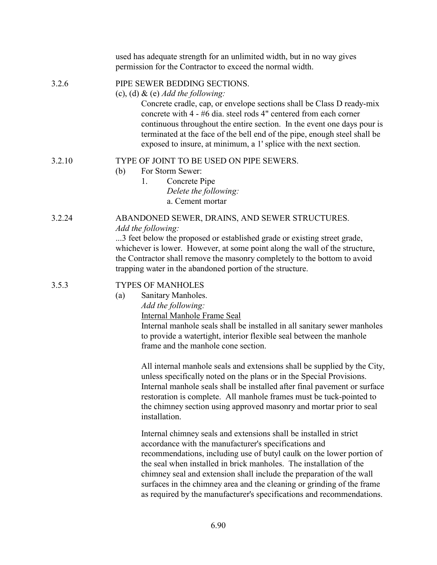|        | used has adequate strength for an unlimited width, but in no way gives<br>permission for the Contractor to exceed the normal width.                                                                                                                                                                                                                                                                                                                                                                                                                                                                                 |  |  |
|--------|---------------------------------------------------------------------------------------------------------------------------------------------------------------------------------------------------------------------------------------------------------------------------------------------------------------------------------------------------------------------------------------------------------------------------------------------------------------------------------------------------------------------------------------------------------------------------------------------------------------------|--|--|
| 3.2.6  | PIPE SEWER BEDDING SECTIONS.<br>(c), (d) & (e) Add the following:<br>Concrete cradle, cap, or envelope sections shall be Class D ready-mix<br>concrete with 4 - #6 dia. steel rods 4" centered from each corner<br>continuous throughout the entire section. In the event one days pour is<br>terminated at the face of the bell end of the pipe, enough steel shall be<br>exposed to insure, at minimum, a 1' splice with the next section.                                                                                                                                                                        |  |  |
| 3.2.10 | TYPE OF JOINT TO BE USED ON PIPE SEWERS.<br>(b)<br>For Storm Sewer:<br>Concrete Pipe<br>1.<br>Delete the following:<br>a. Cement mortar                                                                                                                                                                                                                                                                                                                                                                                                                                                                             |  |  |
| 3.2.24 | ABANDONED SEWER, DRAINS, AND SEWER STRUCTURES.<br>Add the following:<br>3 feet below the proposed or established grade or existing street grade,<br>whichever is lower. However, at some point along the wall of the structure,<br>the Contractor shall remove the masonry completely to the bottom to avoid<br>trapping water in the abandoned portion of the structure.                                                                                                                                                                                                                                           |  |  |
| 3.5.3  | <b>TYPES OF MANHOLES</b><br>Sanitary Manholes.<br>(a)<br>Add the following:<br><b>Internal Manhole Frame Seal</b><br>Internal manhole seals shall be installed in all sanitary sewer manholes<br>to provide a watertight, interior flexible seal between the manhole<br>frame and the manhole cone section.<br>All internal manhole seals and extensions shall be supplied by the City,<br>unless specifically noted on the plans or in the Special Provisions.<br>Internal manhole seals shall be installed after final pavement or surface<br>restoration is complete. All manhole frames must be tuck-pointed to |  |  |
|        | the chimney section using approved masonry and mortar prior to seal<br>installation.<br>Internal chimney seals and extensions shall be installed in strict                                                                                                                                                                                                                                                                                                                                                                                                                                                          |  |  |
|        | accordance with the manufacturer's specifications and<br>recommendations, including use of butyl caulk on the lower portion of<br>the seal when installed in brick manholes. The installation of the<br>chimney seal and extension shall include the preparation of the wall<br>surfaces in the chimney area and the cleaning or grinding of the frame<br>as required by the manufacturer's specifications and recommendations.                                                                                                                                                                                     |  |  |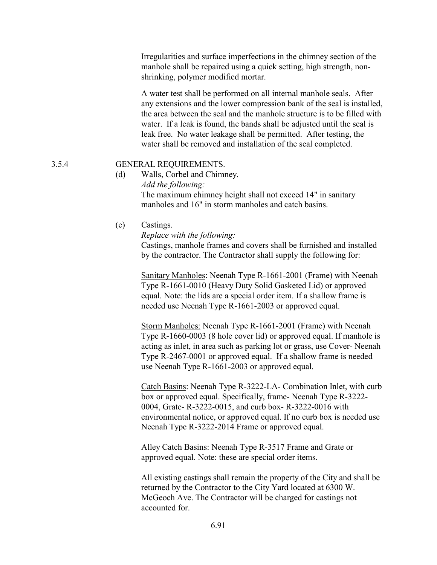Irregularities and surface imperfections in the chimney section of the manhole shall be repaired using a quick setting, high strength, nonshrinking, polymer modified mortar.

A water test shall be performed on all internal manhole seals. After any extensions and the lower compression bank of the seal is installed, the area between the seal and the manhole structure is to be filled with water. If a leak is found, the bands shall be adjusted until the seal is leak free. No water leakage shall be permitted. After testing, the water shall be removed and installation of the seal completed.

## 3.5.4 GENERAL REQUIREMENTS.

- (d) Walls, Corbel and Chimney. Add the following: The maximum chimney height shall not exceed 14" in sanitary manholes and 16" in storm manholes and catch basins.
- (e) Castings.

Replace with the following:

Castings, manhole frames and covers shall be furnished and installed by the contractor. The Contractor shall supply the following for:

Sanitary Manholes: Neenah Type R-1661-2001 (Frame) with Neenah Type R-1661-0010 (Heavy Duty Solid Gasketed Lid) or approved equal. Note: the lids are a special order item. If a shallow frame is needed use Neenah Type R-1661-2003 or approved equal.

Storm Manholes: Neenah Type R-1661-2001 (Frame) with Neenah Type R-1660-0003 (8 hole cover lid) or approved equal. If manhole is acting as inlet, in area such as parking lot or grass, use Cover- Neenah Type R-2467-0001 or approved equal. If a shallow frame is needed use Neenah Type R-1661-2003 or approved equal.

Catch Basins: Neenah Type R-3222-LA- Combination Inlet, with curb box or approved equal. Specifically, frame- Neenah Type R-3222- 0004, Grate- R-3222-0015, and curb box- R-3222-0016 with environmental notice, or approved equal. If no curb box is needed use Neenah Type R-3222-2014 Frame or approved equal.

Alley Catch Basins: Neenah Type R-3517 Frame and Grate or approved equal. Note: these are special order items.

All existing castings shall remain the property of the City and shall be returned by the Contractor to the City Yard located at 6300 W. McGeoch Ave. The Contractor will be charged for castings not accounted for.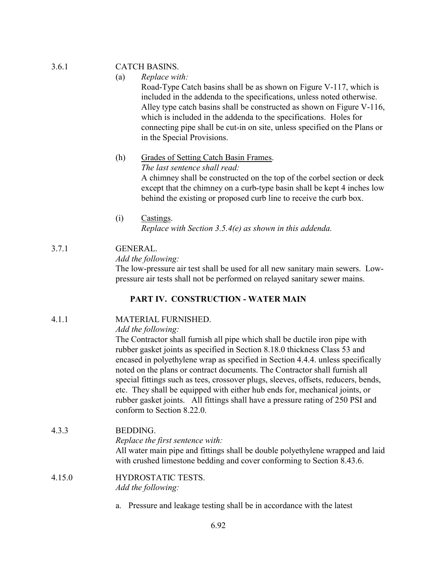## 3.6.1 CATCH BASINS.

## (a) Replace with:

Road-Type Catch basins shall be as shown on Figure V-117, which is included in the addenda to the specifications, unless noted otherwise. Alley type catch basins shall be constructed as shown on Figure V-116, which is included in the addenda to the specifications. Holes for connecting pipe shall be cut-in on site, unless specified on the Plans or in the Special Provisions.

(h) Grades of Setting Catch Basin Frames. The last sentence shall read:

A chimney shall be constructed on the top of the corbel section or deck except that the chimney on a curb-type basin shall be kept 4 inches low behind the existing or proposed curb line to receive the curb box.

(i) Castings. Replace with Section 3.5.4(e) as shown in this addenda.

## 3.7.1 GENERAL.

## Add the following:

The low-pressure air test shall be used for all new sanitary main sewers. Lowpressure air tests shall not be performed on relayed sanitary sewer mains.

## PART IV. CONSTRUCTION - WATER MAIN

## 4.1.1 MATERIAL FURNISHED.

## Add the following:

The Contractor shall furnish all pipe which shall be ductile iron pipe with rubber gasket joints as specified in Section 8.18.0 thickness Class 53 and encased in polyethylene wrap as specified in Section 4.4.4. unless specifically noted on the plans or contract documents. The Contractor shall furnish all special fittings such as tees, crossover plugs, sleeves, offsets, reducers, bends, etc. They shall be equipped with either hub ends for, mechanical joints, or rubber gasket joints. All fittings shall have a pressure rating of 250 PSI and conform to Section 8.22.0.

## 4.3.3 BEDDING.

Replace the first sentence with:

All water main pipe and fittings shall be double polyethylene wrapped and laid with crushed limestone bedding and cover conforming to Section 8.43.6.

#### 4.15.0 HYDROSTATIC TESTS. Add the following:

a. Pressure and leakage testing shall be in accordance with the latest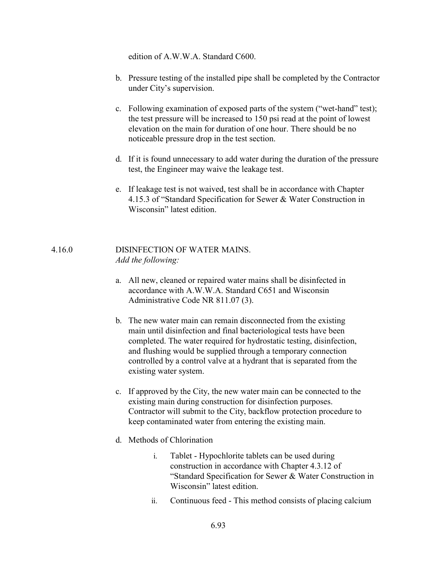edition of A.W.W.A. Standard C600.

- b. Pressure testing of the installed pipe shall be completed by the Contractor under City's supervision.
- c. Following examination of exposed parts of the system ("wet-hand" test); the test pressure will be increased to 150 psi read at the point of lowest elevation on the main for duration of one hour. There should be no noticeable pressure drop in the test section.
- d. If it is found unnecessary to add water during the duration of the pressure test, the Engineer may waive the leakage test.
- e. If leakage test is not waived, test shall be in accordance with Chapter 4.15.3 of "Standard Specification for Sewer & Water Construction in Wisconsin" latest edition.

#### 4.16.0 DISINFECTION OF WATER MAINS. Add the following:

- a. All new, cleaned or repaired water mains shall be disinfected in accordance with A.W.W.A. Standard C651 and Wisconsin Administrative Code NR 811.07 (3).
- b. The new water main can remain disconnected from the existing main until disinfection and final bacteriological tests have been completed. The water required for hydrostatic testing, disinfection, and flushing would be supplied through a temporary connection controlled by a control valve at a hydrant that is separated from the existing water system.
- c. If approved by the City, the new water main can be connected to the existing main during construction for disinfection purposes. Contractor will submit to the City, backflow protection procedure to keep contaminated water from entering the existing main.
- d. Methods of Chlorination
	- i. Tablet Hypochlorite tablets can be used during construction in accordance with Chapter 4.3.12 of "Standard Specification for Sewer & Water Construction in Wisconsin" latest edition.
	- ii. Continuous feed This method consists of placing calcium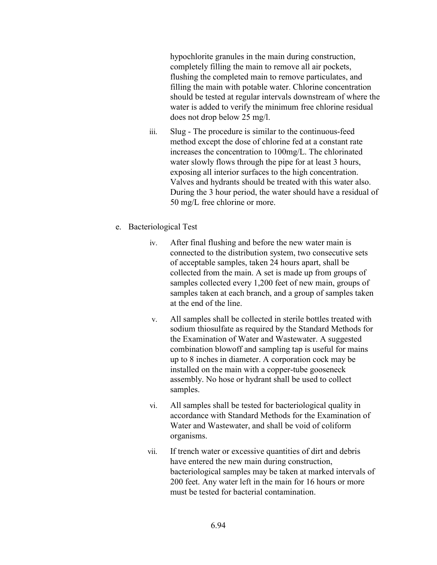hypochlorite granules in the main during construction, completely filling the main to remove all air pockets, flushing the completed main to remove particulates, and filling the main with potable water. Chlorine concentration should be tested at regular intervals downstream of where the water is added to verify the minimum free chlorine residual does not drop below 25 mg/l.

- iii. Slug The procedure is similar to the continuous-feed method except the dose of chlorine fed at a constant rate increases the concentration to 100mg/L. The chlorinated water slowly flows through the pipe for at least 3 hours, exposing all interior surfaces to the high concentration. Valves and hydrants should be treated with this water also. During the 3 hour period, the water should have a residual of 50 mg/L free chlorine or more.
- e. Bacteriological Test
	- iv. After final flushing and before the new water main is connected to the distribution system, two consecutive sets of acceptable samples, taken 24 hours apart, shall be collected from the main. A set is made up from groups of samples collected every 1,200 feet of new main, groups of samples taken at each branch, and a group of samples taken at the end of the line.
	- v. All samples shall be collected in sterile bottles treated with sodium thiosulfate as required by the Standard Methods for the Examination of Water and Wastewater. A suggested combination blowoff and sampling tap is useful for mains up to 8 inches in diameter. A corporation cock may be installed on the main with a copper-tube gooseneck assembly. No hose or hydrant shall be used to collect samples.
	- vi. All samples shall be tested for bacteriological quality in accordance with Standard Methods for the Examination of Water and Wastewater, and shall be void of coliform organisms.
	- vii. If trench water or excessive quantities of dirt and debris have entered the new main during construction, bacteriological samples may be taken at marked intervals of 200 feet. Any water left in the main for 16 hours or more must be tested for bacterial contamination.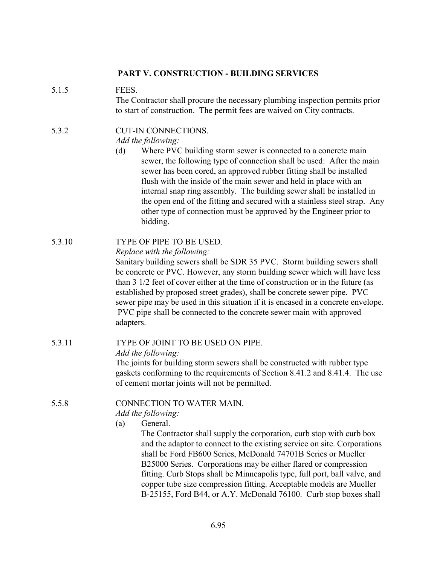## PART V. CONSTRUCTION - BUILDING SERVICES

## 5.1.5 FEES.

The Contractor shall procure the necessary plumbing inspection permits prior to start of construction. The permit fees are waived on City contracts.

# 5.3.2 CUT-IN CONNECTIONS.

## Add the following:

(d) Where PVC building storm sewer is connected to a concrete main sewer, the following type of connection shall be used: After the main sewer has been cored, an approved rubber fitting shall be installed flush with the inside of the main sewer and held in place with an internal snap ring assembly. The building sewer shall be installed in the open end of the fitting and secured with a stainless steel strap. Any other type of connection must be approved by the Engineer prior to bidding.

## 5.3.10 TYPE OF PIPE TO BE USED.

## Replace with the following:

Sanitary building sewers shall be SDR 35 PVC. Storm building sewers shall be concrete or PVC. However, any storm building sewer which will have less than 3 1/2 feet of cover either at the time of construction or in the future (as established by proposed street grades), shall be concrete sewer pipe. PVC sewer pipe may be used in this situation if it is encased in a concrete envelope. PVC pipe shall be connected to the concrete sewer main with approved adapters.

## 5.3.11 TYPE OF JOINT TO BE USED ON PIPE.

Add the following:

The joints for building storm sewers shall be constructed with rubber type gaskets conforming to the requirements of Section 8.41.2 and 8.41.4. The use of cement mortar joints will not be permitted.

## 5.5.8 CONNECTION TO WATER MAIN.

Add the following:

(a) General.

The Contractor shall supply the corporation, curb stop with curb box and the adaptor to connect to the existing service on site. Corporations shall be Ford FB600 Series, McDonald 74701B Series or Mueller B25000 Series. Corporations may be either flared or compression fitting. Curb Stops shall be Minneapolis type, full port, ball valve, and copper tube size compression fitting. Acceptable models are Mueller B-25155, Ford B44, or A.Y. McDonald 76100. Curb stop boxes shall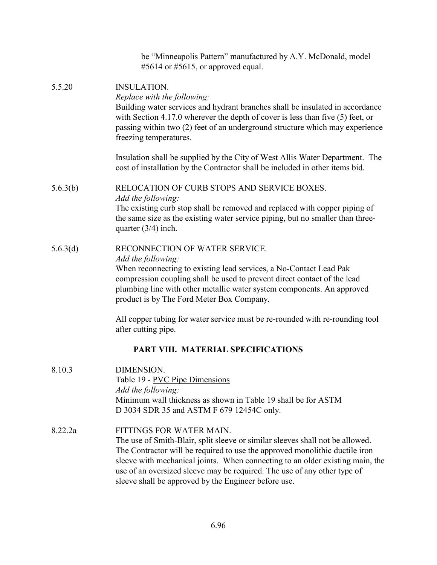|          | be "Minneapolis Pattern" manufactured by A.Y. McDonald, model<br>#5614 or #5615, or approved equal.                                                                                                                                                                                                                                                                                                           |
|----------|---------------------------------------------------------------------------------------------------------------------------------------------------------------------------------------------------------------------------------------------------------------------------------------------------------------------------------------------------------------------------------------------------------------|
| 5.5.20   | <b>INSULATION.</b><br>Replace with the following:<br>Building water services and hydrant branches shall be insulated in accordance<br>with Section 4.17.0 wherever the depth of cover is less than five (5) feet, or<br>passing within two (2) feet of an underground structure which may experience<br>freezing temperatures.                                                                                |
|          | Insulation shall be supplied by the City of West Allis Water Department. The<br>cost of installation by the Contractor shall be included in other items bid.                                                                                                                                                                                                                                                  |
| 5.6.3(b) | RELOCATION OF CURB STOPS AND SERVICE BOXES.<br>Add the following:                                                                                                                                                                                                                                                                                                                                             |
|          | The existing curb stop shall be removed and replaced with copper piping of<br>the same size as the existing water service piping, but no smaller than three-<br>quarter $(3/4)$ inch.                                                                                                                                                                                                                         |
| 5.6.3(d) | RECONNECTION OF WATER SERVICE.<br>Add the following:<br>When reconnecting to existing lead services, a No-Contact Lead Pak<br>compression coupling shall be used to prevent direct contact of the lead<br>plumbing line with other metallic water system components. An approved<br>product is by The Ford Meter Box Company.                                                                                 |
|          | All copper tubing for water service must be re-rounded with re-rounding tool<br>after cutting pipe.                                                                                                                                                                                                                                                                                                           |
|          | PART VIII. MATERIAL SPECIFICATIONS                                                                                                                                                                                                                                                                                                                                                                            |
| 8.10.3   | DIMENSION.<br>Table 19 - PVC Pipe Dimensions<br>Add the following:<br>Minimum wall thickness as shown in Table 19 shall be for ASTM<br>D 3034 SDR 35 and ASTM F 679 12454C only.                                                                                                                                                                                                                              |
| 8.22.2a  | FITTINGS FOR WATER MAIN.<br>The use of Smith-Blair, split sleeve or similar sleeves shall not be allowed.<br>The Contractor will be required to use the approved monolithic ductile iron<br>sleeve with mechanical joints. When connecting to an older existing main, the<br>use of an oversized sleeve may be required. The use of any other type of<br>sleeve shall be approved by the Engineer before use. |
|          |                                                                                                                                                                                                                                                                                                                                                                                                               |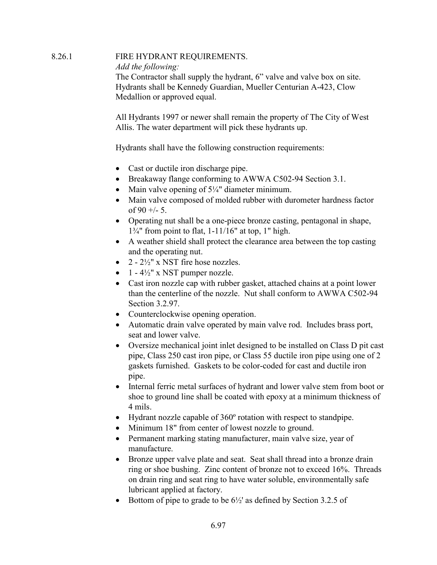## 8.26.1 FIRE HYDRANT REQUIREMENTS. Add the following: The Contractor shall supply the hydrant, 6" valve and valve box on site. Hydrants shall be Kennedy Guardian, Mueller Centurian A-423, Clow Medallion or approved equal.

All Hydrants 1997 or newer shall remain the property of The City of West Allis. The water department will pick these hydrants up.

Hydrants shall have the following construction requirements:

- · Cast or ductile iron discharge pipe.
- Breakaway flange conforming to AWWA C502-94 Section 3.1.
- Main valve opening of  $5\frac{1}{4}$ " diameter minimum.
- Main valve composed of molded rubber with durometer hardness factor of  $90 +/- 5$ .
- · Operating nut shall be a one-piece bronze casting, pentagonal in shape,  $1\frac{3}{4}$ " from point to flat, 1-11/16" at top, 1" high.
- A weather shield shall protect the clearance area between the top casting and the operating nut.
- $2 2\frac{1}{2}$ " x NST fire hose nozzles.
- $1 4\frac{1}{2}$ " x NST pumper nozzle.
- Cast iron nozzle cap with rubber gasket, attached chains at a point lower than the centerline of the nozzle. Nut shall conform to AWWA C502-94 Section 3.2.97.
- Counterclockwise opening operation.
- · Automatic drain valve operated by main valve rod. Includes brass port, seat and lower valve.
- · Oversize mechanical joint inlet designed to be installed on Class D pit cast pipe, Class 250 cast iron pipe, or Class 55 ductile iron pipe using one of 2 gaskets furnished. Gaskets to be color-coded for cast and ductile iron pipe.
- · Internal ferric metal surfaces of hydrant and lower valve stem from boot or shoe to ground line shall be coated with epoxy at a minimum thickness of 4 mils.
- Hydrant nozzle capable of 360° rotation with respect to standpipe.
- Minimum 18" from center of lowest nozzle to ground.
- Permanent marking stating manufacturer, main valve size, year of manufacture.
- Bronze upper valve plate and seat. Seat shall thread into a bronze drain ring or shoe bushing. Zinc content of bronze not to exceed 16%. Threads on drain ring and seat ring to have water soluble, environmentally safe lubricant applied at factory.
- Bottom of pipe to grade to be  $6\frac{1}{2}$  as defined by Section 3.2.5 of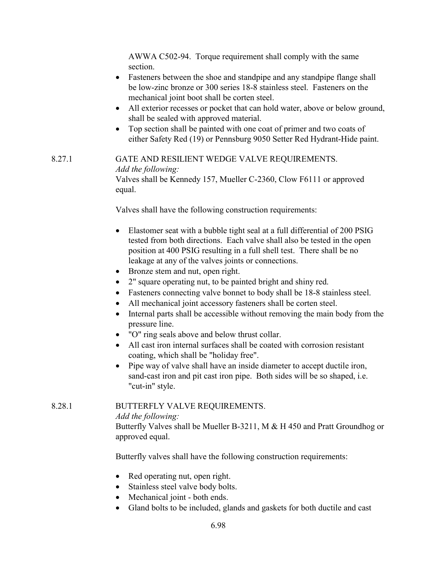AWWA C502-94. Torque requirement shall comply with the same section.

- Fasteners between the shoe and standpipe and any standpipe flange shall be low-zinc bronze or 300 series 18-8 stainless steel. Fasteners on the mechanical joint boot shall be corten steel.
- All exterior recesses or pocket that can hold water, above or below ground, shall be sealed with approved material.
- · Top section shall be painted with one coat of primer and two coats of either Safety Red (19) or Pennsburg 9050 Setter Red Hydrant-Hide paint.

## 8.27.1 GATE AND RESILIENT WEDGE VALVE REQUIREMENTS. Add the following: Valves shall be Kennedy 157, Mueller C-2360, Clow F6111 or approved equal.

Valves shall have the following construction requirements:

- Elastomer seat with a bubble tight seal at a full differential of 200 PSIG tested from both directions. Each valve shall also be tested in the open position at 400 PSIG resulting in a full shell test. There shall be no leakage at any of the valves joints or connections.
- Bronze stem and nut, open right.
- · 2" square operating nut, to be painted bright and shiny red.
- Fasteners connecting valve bonnet to body shall be 18-8 stainless steel.
- All mechanical joint accessory fasteners shall be corten steel.
- · Internal parts shall be accessible without removing the main body from the pressure line.
- · "O" ring seals above and below thrust collar.
- All cast iron internal surfaces shall be coated with corrosion resistant coating, which shall be "holiday free".
- Pipe way of valve shall have an inside diameter to accept ductile iron, sand-cast iron and pit cast iron pipe. Both sides will be so shaped, i.e. "cut-in" style.

## 8.28.1 BUTTERFLY VALVE REQUIREMENTS.

Add the following:

Butterfly Valves shall be Mueller B-3211, M & H 450 and Pratt Groundhog or approved equal.

Butterfly valves shall have the following construction requirements:

- Red operating nut, open right.
- Stainless steel valve body bolts.
- Mechanical joint both ends.
- Gland bolts to be included, glands and gaskets for both ductile and cast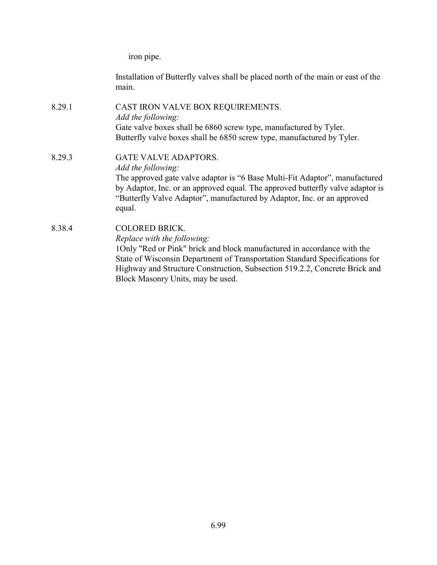iron pipe.

Installation of Butterfly valves shall be placed north of the main or east of the main.

8.29.1 CAST IRON VALVE BOX REQUIREMENTS. Add the following: Gate valve boxes shall be 6860 screw type, manufactured by Tyler. Butterfly valve boxes shall be 6850 screw type, manufactured by Tyler.

## 8.29.3 GATE VALVE ADAPTORS. Add the following: The approved gate valve adaptor is "6 Base Multi-Fit Adaptor", manufactured by Adaptor, Inc. or an approved equal. The approved butterfly valve adaptor is "Butterfly Valve Adaptor", manufactured by Adaptor, Inc. or an approved equal.

8.38.4 COLORED BRICK. Replace with the following: 1Only "Red or Pink" brick and block manufactured in accordance with the State of Wisconsin Department of Transportation Standard Specifications for Highway and Structure Construction, Subsection 519.2.2, Concrete Brick and Block Masonry Units, may be used.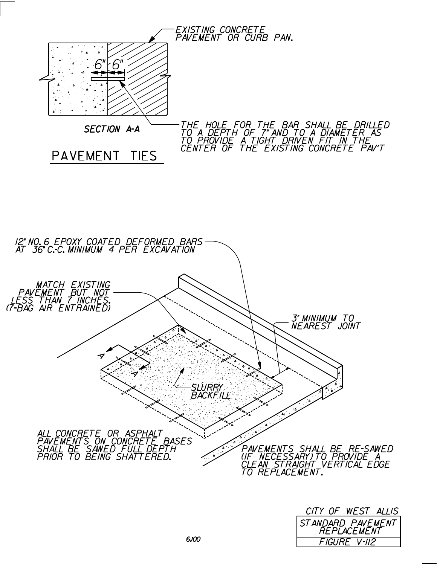



| CITY OF WEST ALLIS |              |  |  |  |
|--------------------|--------------|--|--|--|
|                    |              |  |  |  |
| STANDARD PAVEMENT  |              |  |  |  |
|                    | FIGURE V-II2 |  |  |  |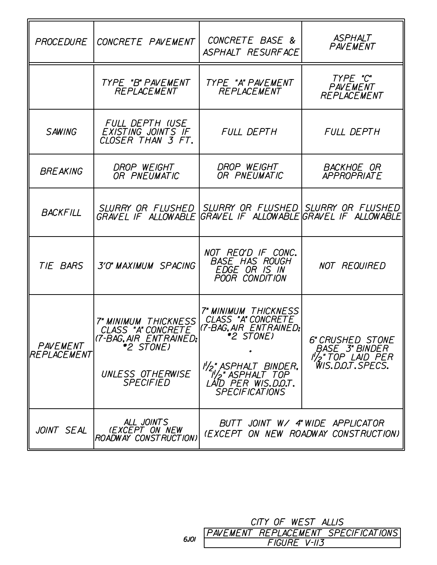| PROCEDURE                | CONCRETE PAVEMENT                                                                                                                              | CONCRETE BASE &<br>ASPHALT RESURFACE                                                                                                                                    | <b>ASPHALT</b><br>PAVEMENT                                                                    |
|--------------------------|------------------------------------------------------------------------------------------------------------------------------------------------|-------------------------------------------------------------------------------------------------------------------------------------------------------------------------|-----------------------------------------------------------------------------------------------|
|                          | TYPE "B" PAVEMENT<br>REPLACEMENT                                                                                                               | TYPE "A" PAVEMENT<br>REPLACEMENT                                                                                                                                        | TYPE "C"<br>PAVEMENT<br>REPLACEMENT                                                           |
| SAWING                   | FULL DEPTH (USE<br>EXISTING JOINTS IF<br>CLOSER THAN 3 FT.                                                                                     | FULL DEPTH                                                                                                                                                              | FULL DEPTH                                                                                    |
| <b>BREAKING</b>          | <i>DROP WEIGHT</i><br>OR PNEUMATIC                                                                                                             | DROP WEIGHT<br>OR PNEUMATIC                                                                                                                                             | <b>BACKHOE OR</b><br><b>APPROPRIATE</b>                                                       |
| <b>BACKFILL</b>          | GRAVEL IF ALLOWABLE GRAVEL IF ALLOWABLEGRAVEL IF ALLOWABLE                                                                                     | SLURRY OR FLUSHED   SLURRY OR FLUSHED   SLURRY OR FLUSHED                                                                                                               |                                                                                               |
| TIE BARS                 | 3'O" MAXIMUM SPACING                                                                                                                           | NOT REQ'D IF CONC.<br><b>BASE HAS ROUGH</b><br>EDGE OR IS IN<br>POOR CONDITION                                                                                          | NOT REQUIRED                                                                                  |
| PAVEMENT<br> REPLACEMENT | 7" MINIMUM THICKNESS   CLASS "A" CONCRETE<br>CLASS "A" CONCRETE<br>(7-BAG, AIR ENTRAINED;<br>*2 STONE)<br>UNLESS OTHERWISE<br><b>SPECIFIED</b> | <b>7" MINIMUM THICKNESS</b><br>K7-BAG, AIR ENTRAINED;<br>*2 STONE)<br>I'/2" ASPHALT BINDER,<br><sup>"</sup> ASPHALT TOP<br>LÁID PER WIS.D.O.T.<br><b>SPECIFICATIONS</b> | <b>6" CRUSHED STONE</b><br><i>BASE 3" BINDER</i><br>$I_{Z}$ "TOP LAID PER<br>WIS.D.O.T.SPECS. |
| JOINT SEAL               | ALL JOINTS<br><b>(EXCEPT ON NEW</b><br>ROADWAY CONSTRUCTION)                                                                                   |                                                                                                                                                                         | BUTT JOINT W/ 4"WIDE APPLICATOR<br>(EXCEPT ON NEW ROADWAY CONSTRUCTION)                       |

CITY OF WEST ALLIS<br>PAVEMENT REPLACEMENT SPECIFICATIONS<br>FIGURE V-II3  $6J$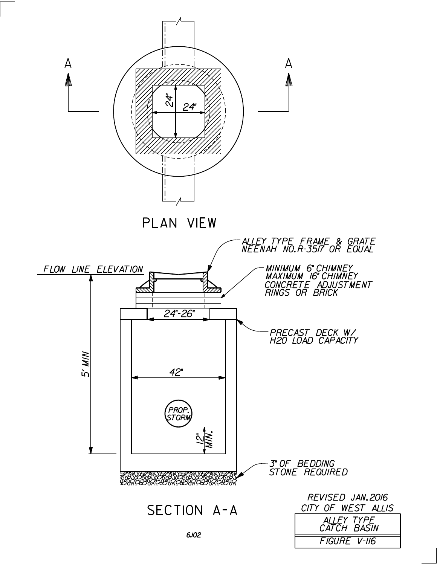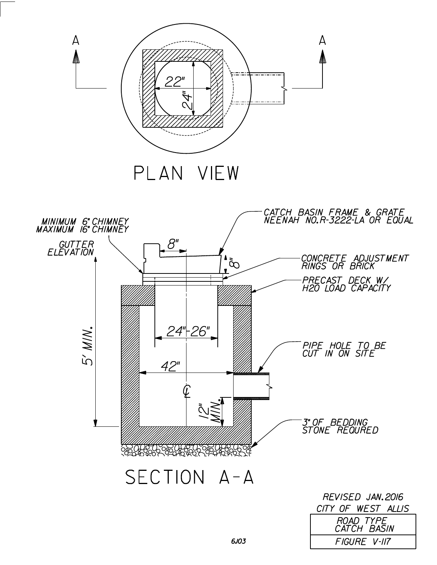